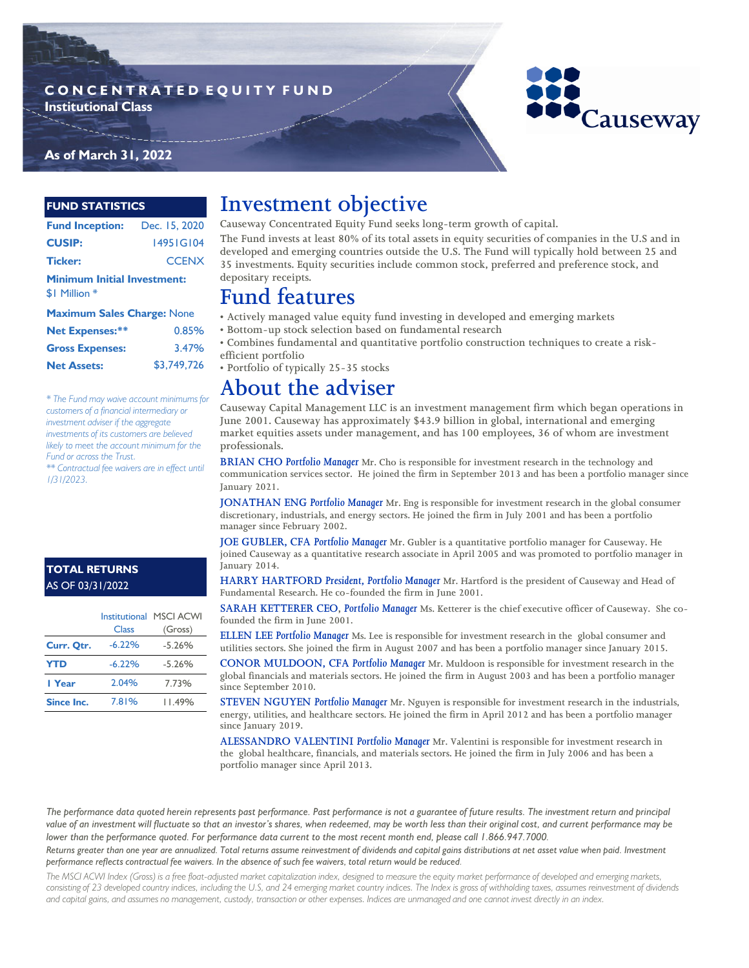### **C O N C E N T R A T E D E Q U I T Y F U N D Institutional Class**



### **As of March 31, 2022**

#### **FUND STATISTICS**

| <b>Fund Inception:</b> Dec. 15, 2020                |              |  |  |  |  |
|-----------------------------------------------------|--------------|--|--|--|--|
| <b>CUSIP:</b>                                       | 1495 IG104   |  |  |  |  |
| <b>Ticker:</b>                                      | <b>CCENX</b> |  |  |  |  |
| <b>Minimum Initial Investment:</b><br>\$1 Million * |              |  |  |  |  |
| <b>Maximum Sales Charge: None</b>                   |              |  |  |  |  |
| Net Expenses:**<br>0.85%                            |              |  |  |  |  |

| <b>Net Expenses:**</b> | 0.85%       |
|------------------------|-------------|
| <b>Gross Expenses:</b> | 3.47%       |
| <b>Net Assets:</b>     | \$3,749,726 |

*\* The Fund may waive account minimums for customers of a financial intermediary or investment adviser if the aggregate investments of its customers are believed likely to meet the account minimum for the Fund or across the Trust.*

*\*\* Contractual fee waivers are in effect until 1/31/2023.*

#### **TOTAL RETURNS**  AS OF 03/31/2022

|                   |          | Institutional MSCI ACWI |
|-------------------|----------|-------------------------|
|                   | Class    | (Gross)                 |
| Curr. Qtr.        | $-6.22%$ | $-5.26%$                |
| <b>YTD</b>        | $-6.22%$ | $-5.26%$                |
| I Year            | 2.04%    | 7.73%                   |
| <b>Since Inc.</b> | 7.81%    | I I 49%                 |

## **Investment objective**

**Causeway Concentrated Equity Fund seeks long-term growth of capital.** 

**The Fund invests at least 80% of its total assets in equity securities of companies in the U.S and in developed and emerging countries outside the U.S. The Fund will typically hold between 25 and 35 investments. Equity securities include common stock, preferred and preference stock, and depositary receipts.**

### **Fund features**

**• Actively managed value equity fund investing in developed and emerging markets**

**• Bottom-up stock selection based on fundamental research**

**• Combines fundamental and quantitative portfolio construction techniques to create a riskefficient portfolio**

**• Portfolio of typically 25-35 stocks**

### **About the adviser**

**Causeway Capital Management LLC is an investment management firm which began operations in June 2001. Causeway has approximately \$43.9 billion in global, international and emerging market equities assets under management, and has 100 employees, 36 of whom are investment professionals.** 

**BRIAN CHO** *Portfolio Manager* **Mr. Cho is responsible for investment research in the technology and communication services sector. He joined the firm in September 2013 and has been a portfolio manager since January 2021.**

**JONATHAN ENG** *Portfolio Manager* **Mr. Eng is responsible for investment research in the global consumer discretionary, industrials, and energy sectors. He joined the firm in July 2001 and has been a portfolio manager since February 2002.** 

**JOE GUBLER, CFA** *Portfolio Manager* **Mr. Gubler is a quantitative portfolio manager for Causeway. He joined Causeway as a quantitative research associate in April 2005 and was promoted to portfolio manager in January 2014.** 

**HARRY HARTFORD** *President, Portfolio Manager* **Mr. Hartford is the president of Causeway and Head of Fundamental Research. He co-founded the firm in June 2001.** 

**SARAH KETTERER CEO,** *Portfolio Manager* **Ms. Ketterer is the chief executive officer of Causeway. She cofounded the firm in June 2001.**

**ELLEN LEE** *Portfolio Manager* **Ms. Lee is responsible for investment research in the global consumer and utilities sectors. She joined the firm in August 2007 and has been a portfolio manager since January 2015.** 

**CONOR MULDOON, CFA** *Portfolio Manager* **Mr. Muldoon is responsible for investment research in the global financials and materials sectors. He joined the firm in August 2003 and has been a portfolio manager since September 2010.**

**STEVEN NGUYEN** *Portfolio Manager* **Mr. Nguyen is responsible for investment research in the industrials, energy, utilities, and healthcare sectors. He joined the firm in April 2012 and has been a portfolio manager since January 2019.** 

**ALESSANDRO VALENTINI** *Portfolio Manager* **Mr. Valentini is responsible for investment research in the global healthcare, financials, and materials sectors. He joined the firm in July 2006 and has been a portfolio manager since April 2013.**

*The performance data quoted herein represents past performance. Past performance is not a guarantee of future results. The investment return and principal value of an investment will fluctuate so that an investor's shares, when redeemed, may be worth less than their original cost, and current performance may be lower than the performance quoted. For performance data current to the most recent month end, please call 1.866.947.7000.* 

*Returns greater than one year are annualized. Total returns assume reinvestment of dividends and capital gains distributions at net asset value when paid. Investment performance reflects contractual fee waivers. In the absence of such fee waivers, total return would be reduced.*

*The MSCI ACWI Index (Gross) is a free float-adjusted market capitalization index, designed to measure the equity market performance of developed and emerging markets, consisting of 23 developed country indices, including the U.S, and 24 emerging market country indices. The Index is gross of withholding taxes, assumes reinvestment of dividends and capital gains, and assumes no management, custody, transaction or other expenses. Indices are unmanaged and one cannot invest directly in an index.*